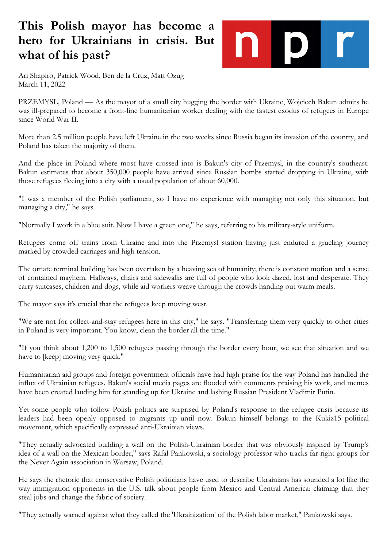## **This Polish mayor has become a hero for Ukrainians in crisis. But what of his past?**



Ari Shapiro, Patrick Wood, Ben de la Cruz, Matt Ozug March 11, 2022

PRZEMYSL, Poland — As the mayor of a small city hugging the border with Ukraine, Wojciech Bakun admits he was ill-prepared to become a front-line humanitarian worker dealing with the fastest exodus of refugees in Europe since World War II.

More than 2.5 million people have left Ukraine in the two weeks since Russia began its invasion of the country, and Poland has taken the majority of them.

And the place in Poland where most have crossed into is Bakun's city of Przemysl, in the country's southeast. Bakun estimates that about 350,000 people have arrived since Russian bombs started dropping in Ukraine, with those refugees fleeing into a city with a usual population of about 60,000.

"I was a member of the Polish parliament, so I have no experience with managing not only this situation, but managing a city," he says.

"Normally I work in a blue suit. Now I have a green one," he says, referring to his military-style uniform.

Refugees come off trains from Ukraine and into the Przemysl station having just endured a grueling journey marked by crowded carriages and high tension.

The ornate terminal building has been overtaken by a heaving sea of humanity; there is constant motion and a sense of contained mayhem. Hallways, chairs and sidewalks are full of people who look dazed, lost and desperate. They carry suitcases, children and dogs, while aid workers weave through the crowds handing out warm meals.

The mayor says it's crucial that the refugees keep moving west.

"We are not for collect-and-stay refugees here in this city," he says. "Transferring them very quickly to other cities in Poland is very important. You know, clean the border all the time."

"If you think about 1,200 to 1,500 refugees passing through the border every hour, we see that situation and we have to [keep] moving very quick."

Humanitarian aid groups and foreign government officials have had high praise for the way Poland has handled the influx of Ukrainian refugees. Bakun's social media pages are flooded with comments praising his work, and memes have been created lauding him for standing up for Ukraine and lashing Russian President Vladimir Putin.

Yet some people who follow Polish politics are surprised by Poland's response to the refugee crisis because its leaders had been openly opposed to migrants up until now. Bakun himself belongs to the Kukiz15 political movement, which specifically expressed anti-Ukrainian views.

"They actually advocated building a wall on the Polish-Ukrainian border that was obviously inspired by Trump's idea of a wall on the Mexican border," says Rafal Pankowski, a sociology professor who tracks far-right groups for the Never Again association in Warsaw, Poland.

He says the rhetoric that conservative Polish politicians have used to describe Ukrainians has sounded a lot like the way immigration opponents in the U.S. talk about people from Mexico and Central America: claiming that they steal jobs and change the fabric of society.

"They actually warned against what they called the 'Ukrainization' of the Polish labor market," Pankowski says.